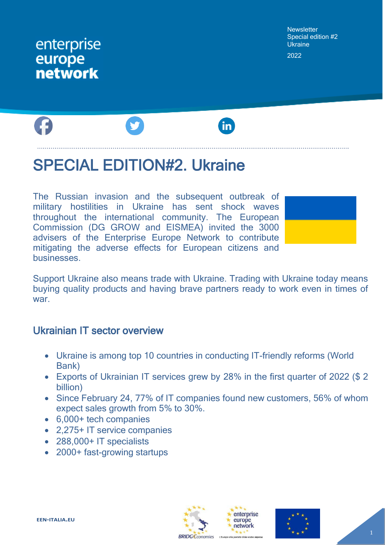# enterprise europe **network**

**Newsletter** Special edition #2 **Ukraine** 2022



# SPECIAL EDITION#2. Ukraine

The Russian invasion and the subsequent outbreak of military hostilities in Ukraine has sent shock waves throughout the international community. The European Commission (DG GROW and EISMEA) invited the 3000 advisers of the Enterprise Europe Network to contribute mitigating the adverse effects for European citizens and businesses.

Support Ukraine also means trade with Ukraine. Trading with Ukraine today means buying quality products and having brave partners ready to work even in times of war.

#### Ukrainian IT sector overview

- Ukraine is among top 10 countries in conducting IT-friendly reforms (World Bank)
- Exports of Ukrainian IT services grew by 28% in the first quarter of 2022 (\$ 2 billion)
- Since February 24, 77% of IT companies found new customers, 56% of whom expect sales growth from 5% to 30%.
- 6,000+ tech companies
- 2,275+ IT service companies
- 288,000+ IT specialists
- 2000+ fast-growing startups





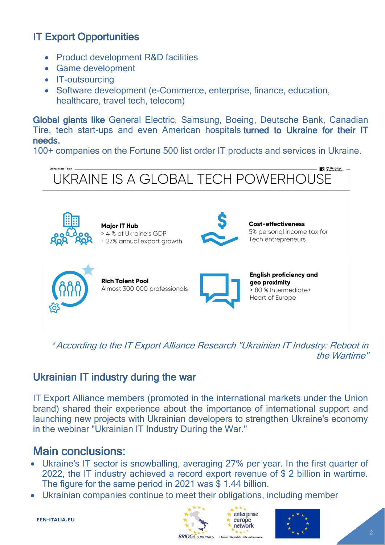# IT Export Opportunities

- Product development R&D facilities
- Game development
- **IT-outsourcing**
- Software development (e-Commerce, enterprise, finance, education, healthcare, travel tech, telecom)

Global giants like General Electric, Samsung, Boeing, Deutsche Bank, Canadian Tire, tech start-ups and even American hospitals turned to Ukraine for their IT needs.

100+ companies on the Fortune 500 list order IT products and services in Ukraine.



\*According to the IT Export Alliance Research "Ukrainian ІТ Industry: Reboot in the Wartime"

### Ukrainian IT industry during the war

IT Export Alliance members (promoted in the international markets under the Union brand) shared their experience about the importance of international support and launching new projects with Ukrainian developers to strengthen Ukraine's economy in the webinar "Ukrainian IT Industry During the War."

# Main conclusions:

- Ukraine's IT sector is snowballing, averaging 27% per year. In the first quarter of 2022, the IT industry achieved a record export revenue of \$ 2 billion in wartime. The figure for the same period in 2021 was \$ 1.44 billion.
- Ukrainian companies continue to meet their obligations, including member





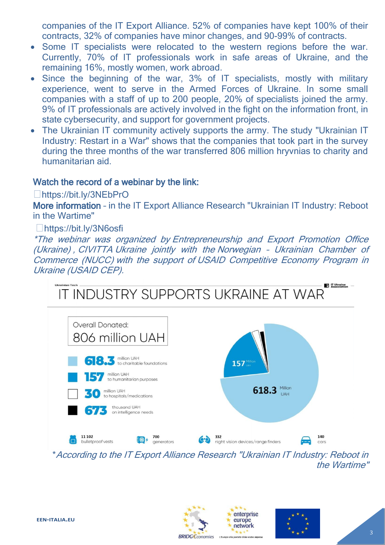companies of the IT Export Alliance. 52% of companies have kept 100% of their contracts, 32% of companies have minor changes, and 90-99% of contracts.

- Some IT specialists were relocated to the western regions before the war. Currently, 70% of IT professionals work in safe areas of Ukraine, and the remaining 16%, mostly women, work abroad.
- Since the beginning of the war, 3% of IT specialists, mostly with military experience, went to serve in the Armed Forces of Ukraine. In some small companies with a staff of up to 200 people, 20% of specialists joined the army. 9% of IT professionals are actively involved in the fight on the information front, in state cybersecurity, and support for government projects.
- The Ukrainian IT community actively supports the army. The study "Ukrainian IT Industry: Restart in a War" shows that the companies that took part in the survey during the three months of the war transferred 806 million hryvnias to charity and humanitarian aid.

#### Watch the record of a webinar by the link:

<https://bit.ly/3NEbPrO>

More information – in the IT Export Alliance Research "Ukrainian ІТ Industry: Reboot in the Wartime"

#### <https://bit.ly/3N6osfi>

\*The webinar was organized by [Entrepreneurship and Export Promotion Office](https://www.linkedin.com/company/eepo-ukraine/)  [\(Ukraine\)](https://www.linkedin.com/company/eepo-ukraine/) , [CIVITTA](https://www.linkedin.com/company/civitta/) Ukraine jointly with the Norwegian – [Ukrainian Chamber of](https://www.linkedin.com/company/norwegian-%E2%80%93-ukrainian-chamber-of-commerce-nucc-/)  [Commerce \(NUCC\)](https://www.linkedin.com/company/norwegian-%E2%80%93-ukrainian-chamber-of-commerce-nucc-/) with the support of [USAID Competitive Economy Program in](https://www.linkedin.com/company/usaidcepukraine/)  [Ukraine \(USAID CEP\).](https://www.linkedin.com/company/usaidcepukraine/)



the Wartime"



enterprise europe network

a alla portata della vostra in

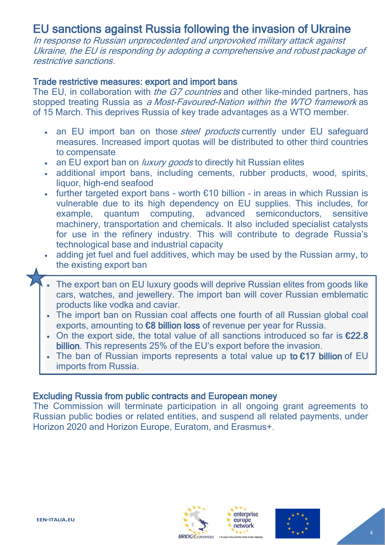# EU sanctions against Russia following the invasion of Ukraine

In response to Russian unprecedented and unprovoked military attack against Ukraine, the EU is responding by adopting a comprehensive and robust package of restrictive sanctions.

#### Trade restrictive measures: export and import bans

The EU, in collaboration with *[the G7 countries](https://www.bundesregierung.de/resource/blob/997532/2014234/39e142fa878dce9e420ef4d29c17969d/2022-03-11-g7-leader-eng-data.pdf?download=1)* and other like-minded partners, has stopped treating Russia as a [Most-Favoured-Nation within the WTO framework](https://www.consilium.europa.eu/en/press/press-releases/2022/03/15/russia-s-military-aggression-against-ukraine-fourth-eu-package-of-sectoral-and-individual-measures/) as of 15 March. This deprives Russia of key trade advantages as a WTO member.

- an EU import ban on those *[steel products](https://ec.europa.eu/commission/presscorner/detail/en/ip_22_1761)* currently under EU safeguard measures. Increased import quotas will be distributed to other third countries to compensate
- an EU export ban on *[luxury goods](https://ec.europa.eu/commission/presscorner/detail/en/ip_22_1761)* to directly hit Russian elites
- additional import bans, including cements, rubber products, wood, spirits, liquor, high-end seafood
- further targeted export bans worth  $£10$  billion in areas in which Russian is vulnerable due to its high dependency on EU supplies. This includes, for example, quantum computing, advanced semiconductors, sensitive machinery, transportation and chemicals. It also included specialist catalysts for use in the refinery industry. This will contribute to degrade Russia's technological base and industrial capacity
- adding jet fuel and fuel additives, which may be used by the Russian army, to the existing export ban
- The export ban on EU luxury goods will deprive Russian elites from goods like cars, watches, and jewellery. The import ban will cover Russian emblematic products like vodka and caviar.
- The import ban on Russian coal affects one fourth of all Russian global coal exports, amounting to €8 billion loss of revenue per year for Russia.
- On the export side, the total value of all sanctions introduced so far is €22.8 billion. This represents 25% of the EU's export before the invasion.
- The ban of Russian imports represents a total value up to €17 billion of EU imports from Russia.

#### Excluding Russia from public contracts and European money

The Commission will terminate participation in all ongoing grant agreements to Russian public bodies or related entities, and suspend all related payments, under Horizon 2020 and Horizon Europe, Euratom, and Erasmus+.





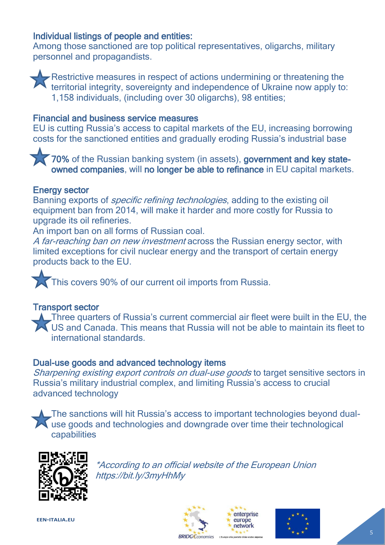#### Individual listings of people and entities:

Among those sanctioned are top political representatives, oligarchs, military personnel and propagandists.



Restrictive measures in respect of actions undermining or threatening the territorial integrity, sovereignty and independence of Ukraine now apply to: 1,158 individuals, (including over 30 oligarchs), 98 entities;

#### Financial and business service measures

EU is cutting Russia's access to capital markets of the EU, increasing borrowing costs for the sanctioned entities and gradually eroding Russia's industrial base

70% of the Russian banking system (in assets), government and key stateowned companies, will no longer be able to refinance in EU capital markets.

#### Energy sector

Banning exports of *[specific refining technologies](https://www.consilium.europa.eu/en/press/press-releases/2022/02/25/russia-s-military-aggression-against-ukraine-eu-imposes-sanctions-against-president-putin-and-foreign-minister-lavrov-and-adopts-wide-ranging-individual-and-economic-sanctions/)*, adding to the existing oil equipment ban from 2014, will make it harder and more costly for Russia to upgrade its oil refineries.

An import ban on all forms of Russian coal.

[A far-reaching ban on new investment](https://www.consilium.europa.eu/en/press/press-releases/2022/03/15/russia-s-military-aggression-against-ukraine-fourth-eu-package-of-sectoral-and-individual-measures/) across the Russian energy sector, with limited exceptions for civil nuclear energy and the transport of certain energy products back to the EU.

 $\overline{a}$ This covers 90% of our current oil imports from Russia.

#### Transport sector

**L**Three quarters of Russia's current commercial air fleet were built in the EU, the US and Canada. This means that Russia will not be able to maintain its fleet to international standards.

#### Dual-use goods and advanced technology items

[Sharpening existing export controls on dual-use goods](https://eur-lex.europa.eu/legal-content/EN/TXT/?uri=CELEX%3A32022R0328&qid=1647426657418) to target sensitive sectors in Russia's military industrial complex, and limiting Russia's access to crucial advanced technology

The sanctions will hit Russia's access to important technologies beyond dualuse goods and technologies and downgrade over time their technological capabilities



\*According to an official website of the European Union <https://bit.ly/3myHhMy>







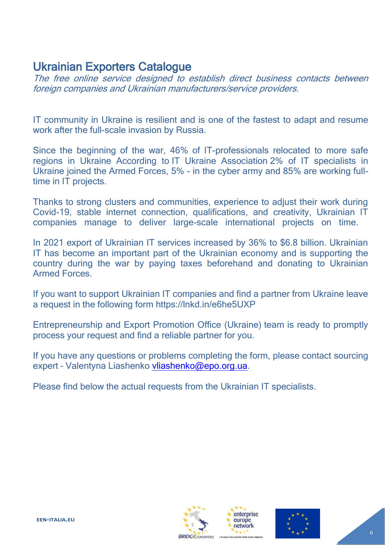# Ukrainian Exporters Catalogue

The free online service designed to establish direct business contacts between foreign companies and Ukrainian manufacturers/service providers.

IT community in Ukraine is resilient and is one of the fastest to adapt and resume work after the full-scale invasion by Russia.

Since the beginning of the war, 46% of ІТ-professionals relocated to more safe regions in Ukraine According to [IT Ukraine Association](https://www.linkedin.com/company/itukraine/) 2% of IT specialists in Ukraine joined the Armed Forces, 5% - in the cyber army and 85% are working fulltime in IT projects.

Thanks to strong clusters and communities, experience to adjust their work during Covid-19, stable internet connection, qualifications, and creativity, Ukrainian IT companies manage to deliver large-scale international projects on time.

In 2021 export of Ukrainian IT services increased by 36% to \$6.8 billion. Ukrainian IT has become an important part of the Ukrainian economy and is supporting the country during the war by paying taxes beforehand and donating to Ukrainian Armed Forces.

If you want to support Ukrainian IT companies and find a partner from Ukraine leave a request in the following form <https://lnkd.in/e6he5UXP>

[Entrepreneurship and Export Promotion Office \(Ukraine\)](https://www.linkedin.com/company/eepo-ukraine/) team is ready to promptly process your request and find a reliable partner for you.

If you have any questions or problems completing the form, please contact sourcing expert - Valentyna Liashenko [vliashenko@epo.org.ua.](mailto:vliashenko@epo.org.ua)

Please find below the actual requests from the Ukrainian IT specialists.





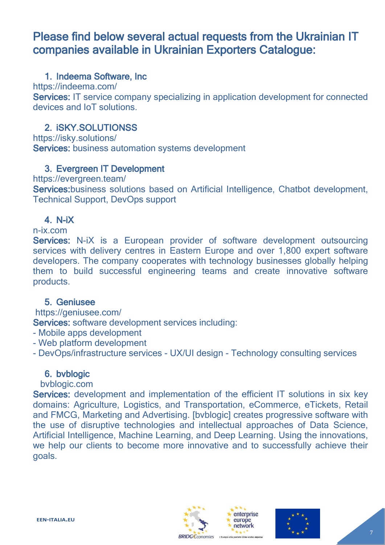# Please find below several actual requests from the Ukrainian IT companies available in Ukrainian Exporters Catalogue:

#### 1. Indeema Software, Inc

https://indeema.com/

Services: IT service company specializing in application development for connected devices and IoT solutions.

#### 2. iSKY.SOLUTIONSS

<https://isky.solutions/>

Services: business automation systems development

#### 3. Evergreen IT Development

https://evergreen.team/

Services: business solutions based on Artificial Intelligence, Chatbot development, Technical Support, DevOps support

#### 4. N-iX

#### n-ix.com

Services: N-iX is a European provider of software development outsourcing services with delivery centres in Eastern Europe and over 1,800 expert software developers. The company cooperates with technology businesses globally helping them to build successful engineering teams and create innovative software products.

#### 5. Geniusee

https://geniusee.com/

Services: software development services including:

- Mobile apps development
- Web platform development
- DevOps/infrastructure services UX/UI design Technology consulting services

#### 6. bvblogic

#### bvblogic.com

Services: development and implementation of the efficient IT solutions in six key domains: Agriculture, Logistics, and Transportation, eCommerce, eTickets, Retail and FMCG, Marketing and Advertising. [bvblogic] creates progressive software with the use of disruptive technologies and intellectual approaches of Data Science, Artificial Intelligence, Machine Learning, and Deep Learning. Using the innovations, we help our clients to become more innovative and to successfully achieve their goals.







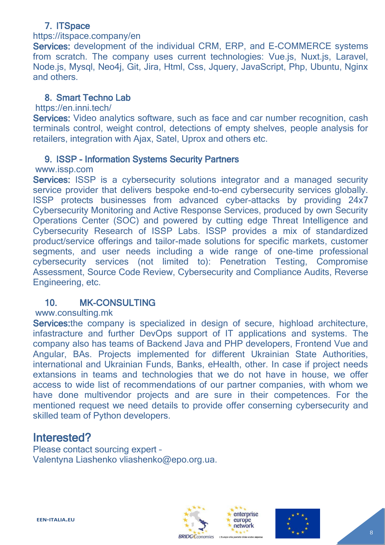### 7. ITSpace

#### https://itspace.company/en

Services: development of the individual CRM, ERP, and E-COMMERCE systems from scratch. The company uses current technologies: Vue.js, Nuxt.js, Laravel, Node.js, Mysql, Neo4j, Git, Jira, Html, Css, Jquery, JavaScript, Php, Ubuntu, Nginx and others.

#### 8. Smart Techno Lab

#### https://en.inni.tech/

Services: Video analytics software, such as face and car number recognition, cash terminals control, weight control, detections of empty shelves, people analysis for retailers, integration with Ajax, Satel, Uprox and others etc.

#### 9. ISSP - Information Systems Security Partners

#### [www.issp.com](http://www.issp.com/)

Services: ISSP is a cybersecurity solutions integrator and a managed security service provider that delivers bespoke end-to-end cybersecurity services globally. ISSP protects businesses from advanced cyber-attacks by providing 24x7 Cybersecurity Monitoring and Active Response Services, produced by own Security Operations Center (SOC) and powered by cutting edge Threat Intelligence and Cybersecurity Research of ISSP Labs. ISSP provides a mix of standardized product/service offerings and tailor-made solutions for specific markets, customer segments, and user needs including a wide range of one-time professional cybersecurity services (not limited to): Penetration Testing, Compromise Assessment, Source Code Review, Cybersecurity and Compliance Audits, Reverse Engineering, etc.

#### 10. MK-CONSULTING

#### www.consulting.mk

Services: the company is specialized in design of secure, highload architecture, infastracture and further DevOps support of IT applications and systems. The company also has teams of Backend Java and PHP developers, Frontend Vue and Angular, BAs. Projects implemented for different Ukrainian State Authorities, international and Ukrainian Funds, Banks, eHealth, other. In case if project needs extansions in teams and technologies that we do not have in house, we offer access to wide list of recommendations of our partner companies, with whom we have done multivendor projects and are sure in their competences. For the mentioned request we need details to provide offer conserning cybersecurity and skilled team of Python developers.

### Interested?

Please contact sourcing expert – Valentyna Liashenko [vliashenko@epo.org.ua.](mailto:vliashenko@epo.org.ua)





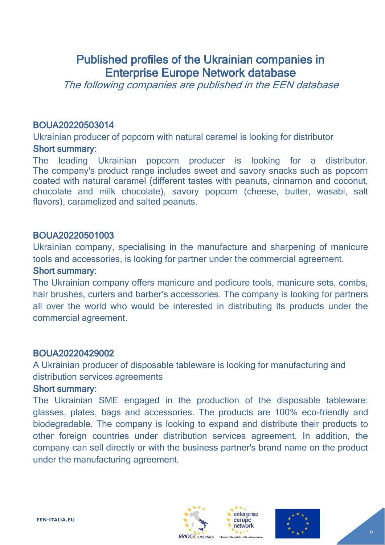# Published profiles of the Ukrainian companies in Enterprise Europe Network database

The following companies are published in the EEN database

#### BOUA20220503014

Ukrainian producer of popcorn with natural caramel is looking for distributor

#### Short summary:

The leading Ukrainian popcorn producer is looking for a distributor. The company's product range includes sweet and savory snacks such as popcorn coated with natural caramel (different tastes with peanuts, cinnamon and coconut, chocolate and milk chocolate), savory popcorn (cheese, butter, wasabi, salt flavors), caramelized and salted peanuts.

#### BOUA20220501003

Ukrainian company, specialising in the manufacture and sharpening of manicure tools and accessories, is looking for partner under the commercial agreement.

#### Short summary:

The Ukrainian company offers manicure and pedicure tools, manicure sets, combs, hair brushes, curlers and barber's accessories. The company is looking for partners all over the world who would be interested in distributing its products under the commercial agreement.

#### BOUA20220429002

A Ukrainian producer of disposable tableware is looking for manufacturing and distribution services agreements

#### Short summary:

The Ukrainian SME engaged in the production of the disposable tableware: glasses, plates, bags and accessories. The products are 100% eco-friendly and biodegradable. The company is looking to expand and distribute their products to other foreign countries under distribution services agreement. In addition, the company can sell directly or with the business partner's brand name on the product under the manufacturing agreement.







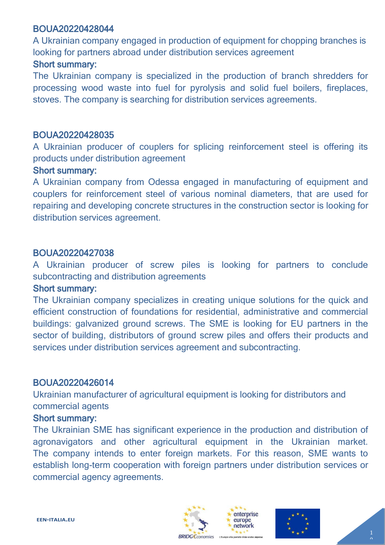#### BOUA20220428044

A Ukrainian company engaged in production of equipment for chopping branches is looking for partners abroad under distribution services agreement

#### Short summary:

The Ukrainian company is specialized in the production of branch shredders for processing wood waste into fuel for pyrolysis and solid fuel boilers, fireplaces, stoves. The company is searching for distribution services agreements.

#### BOUA20220428035

A Ukrainian producer of couplers for splicing reinforcement steel is offering its products under distribution agreement

#### Short summary:

A Ukrainian company from Odessa engaged in manufacturing of equipment and couplers for reinforcement steel of various nominal diameters, that are used for repairing and developing concrete structures in the construction sector is looking for distribution services agreement.

#### BOUA20220427038

A Ukrainian producer of screw piles is looking for partners to conclude subcontracting and distribution agreements

#### Short summary:

The Ukrainian company specializes in creating unique solutions for the quick and efficient construction of foundations for residential, administrative and commercial buildings: galvanized ground screws. The SME is looking for EU partners in the sector of building, distributors of ground screw piles and offers their products and services under distribution services agreement and subcontracting.

#### BOUA20220426014

Ukrainian manufacturer of agricultural equipment is looking for distributors and commercial agents

#### Short summary:

The Ukrainian SME has significant experience in the production and distribution of agronavigators and other agricultural equipment in the Ukrainian market. The company intends to enter foreign markets. For this reason, SME wants to establish long-term cooperation with foreign partners under distribution services or commercial agency agreements.





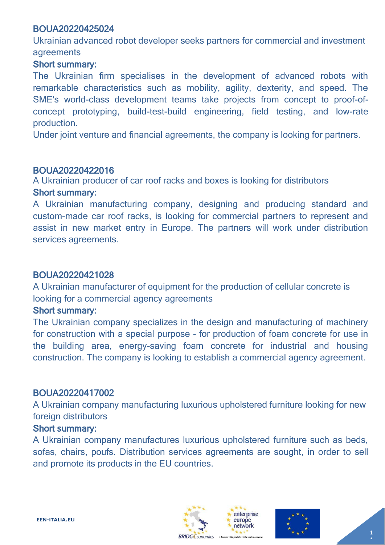#### BOUA20220425024

Ukrainian advanced robot developer seeks partners for commercial and investment agreements

#### Short summary:

The Ukrainian firm specialises in the development of advanced robots with remarkable characteristics such as mobility, agility, dexterity, and speed. The SME's world-class development teams take projects from concept to proof-ofconcept prototyping, build-test-build engineering, field testing, and low-rate production.

Under joint venture and financial agreements, the company is looking for partners.

#### BOUA20220422016

A Ukrainian producer of car roof racks and boxes is looking for distributors Short summary:

A Ukrainian manufacturing company, designing and producing standard and custom-made car roof racks, is looking for commercial partners to represent and assist in new market entry in Europe. The partners will work under distribution services agreements.

#### BOUA20220421028

A Ukrainian manufacturer of equipment for the production of cellular concrete is looking for a commercial agency agreements

#### Short summary:

The Ukrainian company specializes in the design and manufacturing of machinery for construction with a special purpose - for production of foam concrete for use in the building area, energy-saving foam concrete for industrial and housing construction. The company is looking to establish a commercial agency agreement.

#### BOUA20220417002

A Ukrainian company manufacturing luxurious upholstered furniture looking for new foreign distributors

#### Short summary:

A Ukrainian company manufactures luxurious upholstered furniture such as beds, sofas, chairs, poufs. Distribution services agreements are sought, in order to sell and promote its products in the EU countries.





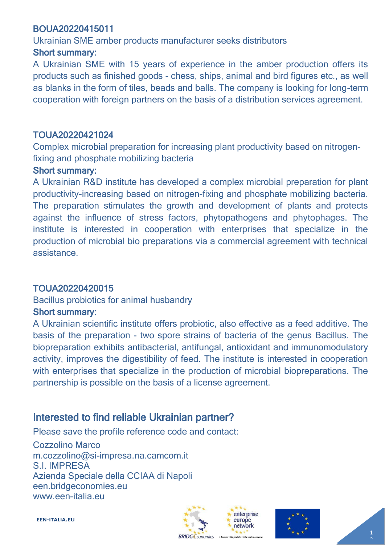#### BOUA20220415011

Ukrainian SME amber products manufacturer seeks distributors

#### Short summary:

A Ukrainian SME with 15 years of experience in the amber production offers its products such as finished goods - chess, ships, animal and bird figures etc., as well as blanks in the form of tiles, beads and balls. The company is looking for long-term cooperation with foreign partners on the basis of a distribution services agreement.

#### TOUA20220421024

Complex microbial preparation for increasing plant productivity based on nitrogenfixing and phosphate mobilizing bacteria

#### Short summary:

A Ukrainian R&D institute has developed a complex microbial preparation for plant productivity-increasing based on nitrogen-fixing and phosphate mobilizing bacteria. The preparation stimulates the growth and development of plants and protects against the influence of stress factors, phytopathogens and phytophages. The institute is interested in cooperation with enterprises that specialize in the production of microbial bio preparations via a commercial agreement with technical assistance.

#### TOUA20220420015

#### Bacillus probiotics for animal husbandry

#### Short summary:

A Ukrainian scientific institute offers probiotic, also effective as a feed additive. The basis of the preparation - two spore strains of bacteria of the genus Bacillus. The biopreparation exhibits antibacterial, antifungal, antioxidant and immunomodulatory activity, improves the digestibility of feed. The institute is interested in cooperation with enterprises that specialize in the production of microbial biopreparations. The partnership is possible on the basis of a license agreement.

### Interested to find reliable Ukrainian partner?

Please save the profile reference code and contact:

Cozzolino Marco m.cozzolino@si-impresa.na.camcom.it S.I. IMPRESA Azienda Speciale della CCIAA di Napoli [een.bridgeconomies.eu](http://een.bridgeconomies.eu/) [www.een-italia.eu](http://www.een-italia.eu/)







**EEN-ITALIA.EU**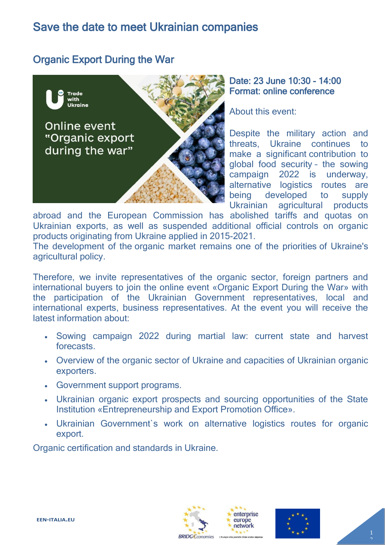# Save the date to meet Ukrainian companies

### Organic Export During the War



Date: 23 June 10:30 - 14:00 Format: online conference

About this event:

Despite the military action and threats, Ukraine continues to make a significant contribution to global food security – the sowing campaign 2022 is underway, alternative logistics routes are being developed to supply Ukrainian agricultural products

abroad and the European Commission has abolished tariffs and quotas on Ukrainian exports, as well as suspended additional official controls on organic products originating from Ukraine applied in 2015-2021.

The development of the organic market remains one of the priorities of Ukraine's agricultural policy.

Therefore, we invite representatives of the organic sector, foreign partners and international buyers to join the online event «Organic Export During the War» with the participation of the Ukrainian Government representatives, local and international experts, business representatives. At the event you will receive the latest information about:

- Sowing campaign 2022 during martial law: current state and harvest forecasts.
- Overview of the organic sector of Ukraine and capacities of Ukrainian organic exporters.
- Government support programs.
- Ukrainian organic export prospects and sourcing opportunities of the State Institution «Entrepreneurship and Export Promotion Office».
- Ukrainian Government`s work on alternative logistics routes for organic export.

Organic certification and standards in Ukraine.





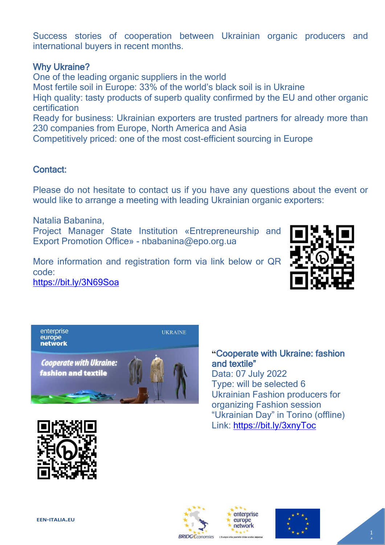Success stories of cooperation between Ukrainian organic producers and international buyers in recent months.

#### Why Ukraine?

One of the leading organic suppliers in the world Most fertile soil in Europe: 33% of the world's black soil is in Ukraine Hiqh quality: tasty products of superb quality confirmed by the EU and other organic certification Ready for business: Ukrainian exporters are trusted partners for already more than 230 companies from Europe, North America and Asia Competitively priced: one of the most cost-efficient sourcing in Europe

#### Contact:

Please do not hesitate to contact us if you have any questions about the event or would like to arrange a meeting with leading Ukrainian organic exporters:

Natalia Babanina, Project Manager State Institution «Entrepreneurship and Export Promotion Office» - nbabanina@epo.org.ua

More information and registration form via link below or QR code:

<https://bit.ly/3N69Soa>





**"**Cooperate with Ukraine: fashion and textile" Data: 07 July 2022 Type: will be selected 6

Ukrainian Fashion producers for organizing Fashion session "Ukrainian Day" in Torino (offline) Link:<https://bit.ly/3xnyToc>